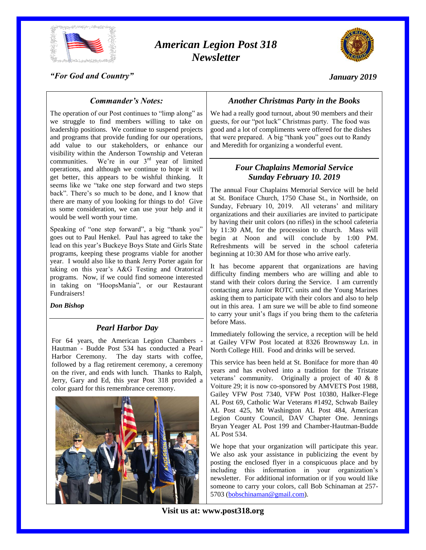

# *American Legion Post 318 Newsletter*



*"For God and Country"*

*January 2019*

# *Commander's Notes:*

The operation of our Post continues to "limp along" as we struggle to find members willing to take on leadership positions. We continue to suspend projects and programs that provide funding for our operations, add value to our stakeholders, or enhance our visibility within the Anderson Township and Veteran communities. We're in our  $3<sup>rd</sup>$  year of limited operations, and although we continue to hope it will get better, this appears to be wishful thinking. It seems like we "take one step forward and two steps back". There's so much to be done, and I know that there are many of you looking for things to do! Give us some consideration, we can use your help and it would be well worth your time.

Speaking of "one step forward", a big "thank you" goes out to Paul Henkel. Paul has agreed to take the lead on this year's Buckeye Boys State and Girls State programs, keeping these programs viable for another year. I would also like to thank Jerry Porter again for taking on this year's A&G Testing and Oratorical programs. Now, if we could find someone interested in taking on "HoopsMania", or our Restaurant Fundraisers!

#### *Don Bishop*

### *Pearl Harbor Day*

For 64 years, the American Legion Chambers Hautman - Budde Post 534 has conducted a Pearl Harbor Ceremony. The day starts with coffee, followed by a flag retirement ceremony, a ceremony on the river, and ends with lunch. Thanks to Ralph, Jerry, Gary and Ed, this year Post 318 provided a color guard for this remembrance ceremony.



# *Another Christmas Party in the Books*

We had a really good turnout, about 90 members and their guests, for our "pot luck" Christmas party. The food was good and a lot of compliments were offered for the dishes that were prepared. A big "thank you" goes out to Randy and Meredith for organizing a wonderful event.

# *Four Chaplains Memorial Service Sunday February 10. 2019*

The annual Four Chaplains Memorial Service will be held at St. Boniface Church, 1750 Chase St., in Northside, on Sunday, February 10, 2019. All veterans' and military organizations and their auxiliaries are invited to participate by having their unit colors (no rifles) in the school cafeteria by 11:30 AM, for the procession to church. Mass will begin at Noon and will conclude by 1:00 PM. Refreshments will be served in the school cafeteria beginning at 10:30 AM for those who arrive early.

It has become apparent that organizations are having difficulty finding members who are willing and able to stand with their colors during the Service. I am currently contacting area Junior ROTC units and the Young Marines asking them to participate with their colors and also to help out in this area. I am sure we will be able to find someone to carry your unit's flags if you bring them to the cafeteria before Mass.

Immediately following the service, a reception will be held at Gailey VFW Post located at 8326 Brownsway Ln. in North College Hill. Food and drinks will be served.

This service has been held at St. Boniface for more than 40 years and has evolved into a tradition for the Tristate veterans' community. Originally a project of 40 & 8 Voiture 29; it is now co-sponsored by AMVETS Post 1988, Gailey VFW Post 7340, VFW Post 10380, Halker-Flege AL Post 69, Catholic War Veterans #1492, Schwab Bailey AL Post 425, Mt Washington AL Post 484, American Legion County Council, DAV Chapter One. Jennings Bryan Yeager AL Post 199 and Chamber-Hautman-Budde AL Post 534.

We hope that your organization will participate this year. We also ask your assistance in publicizing the event by posting the enclosed flyer in a conspicuous place and by including this information in your organization's newsletter. For additional information or if you would like someone to carry your colors, call Bob Schinaman at 257- 5703 [\(bobschinaman@gmail.com\)](mailto:bobschinaman@gmail.com).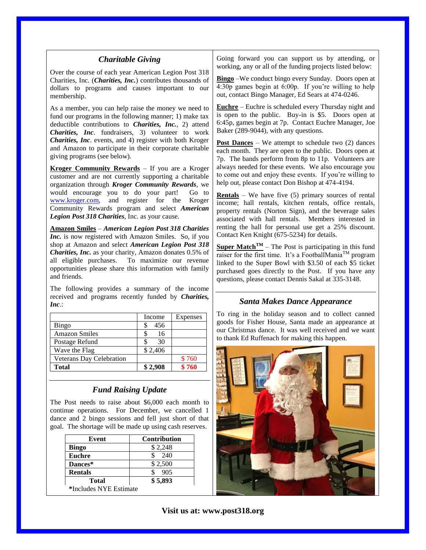| <b>Charitable Giving</b>                                                                                                                                                                                                                                                                                                                                          |                                 | Going forward you can support us by attending, or<br>working, any or all of the funding projects listed below:                                                                                                                                                                                                                                                                                                                     |  |
|-------------------------------------------------------------------------------------------------------------------------------------------------------------------------------------------------------------------------------------------------------------------------------------------------------------------------------------------------------------------|---------------------------------|------------------------------------------------------------------------------------------------------------------------------------------------------------------------------------------------------------------------------------------------------------------------------------------------------------------------------------------------------------------------------------------------------------------------------------|--|
| Over the course of each year American Legion Post 318<br>Charities, Inc. (Charities, Inc.) contributes thousands of<br>dollars to programs and causes important to our<br>membership.                                                                                                                                                                             |                                 | <b>Bingo</b> – We conduct bingo every Sunday. Doors open at<br>4:30p games begin at 6:00p. If you're willing to help<br>out, contact Bingo Manager, Ed Sears at 474-0246.                                                                                                                                                                                                                                                          |  |
| As a member, you can help raise the money we need to<br>fund our programs in the following manner; 1) make tax<br>deductible contributions to <i>Charities</i> , <i>Inc.</i> , 2) attend<br>Charities, Inc. fundraisers, 3) volunteer to work                                                                                                                     |                                 | <b>Euchre</b> – Euchre is scheduled every Thursday night and<br>is open to the public. Buy-in is \$5. Doors open at<br>6:45p, games begin at 7p. Contact Euchre Manager, Joe<br>Baker (289-9044), with any questions.                                                                                                                                                                                                              |  |
| Charities, Inc. events, and 4) register with both Kroger<br>and Amazon to participate in their corporate charitable<br>giving programs (see below).                                                                                                                                                                                                               |                                 | <b>Post Dances</b> – We attempt to schedule two $(2)$ dances<br>each month. They are open to the public. Doors open at<br>7p. The bands perform from 8p to 11p. Volunteers are<br>always needed for these events. We also encourage you<br>to come out and enjoy these events. If you're willing to<br>help out, please contact Don Bishop at 474-4194.                                                                            |  |
| Kroger Community Rewards - If you are a Kroger<br>customer and are not currently supporting a charitable<br>organization through Kroger Community Rewards, we                                                                                                                                                                                                     |                                 |                                                                                                                                                                                                                                                                                                                                                                                                                                    |  |
| would encourage you to do your part!<br>Go to<br>www.kroger.com,<br>and register for the<br>Kroger<br>Community Rewards program and select American<br>Legion Post 318 Charities, Inc. as your cause.                                                                                                                                                             |                                 | <b>Rentals</b> – We have five $(5)$ primary sources of rental<br>income; hall rentals, kitchen rentals, office rentals,<br>property rentals (Norton Sign), and the beverage sales<br>associated with hall rentals. Members interested in                                                                                                                                                                                           |  |
| <b>Amazon Smiles - American Legion Post 318 Charities</b><br>Inc. is now registered with Amazon Smiles. So, if you<br>shop at Amazon and select American Legion Post 318<br>Charities, Inc. as your charity, Amazon donates 0.5% of<br>all eligible purchases. To maximize our revenue<br>opportunities please share this information with family<br>and friends. |                                 | renting the hall for personal use get a 25% discount.<br>Contact Ken Knight (675-5234) for details.<br><b>Super Match<sup>TM</sup></b> – The Post is participating in this fund<br>raiser for the first time. It's a FootballMania <sup>TM</sup> program<br>linked to the Super Bowl with \$3.50 of each \$5 ticket<br>purchased goes directly to the Post. If you have any<br>questions, please contact Dennis Sakal at 335-3148. |  |
| The following provides a summary of the income<br>received and programs recently funded by Charities,<br>Inc.                                                                                                                                                                                                                                                     |                                 | <b>Santa Makes Dance Appearance</b>                                                                                                                                                                                                                                                                                                                                                                                                |  |
|                                                                                                                                                                                                                                                                                                                                                                   |                                 | To ring in the holiday season and to collect canned                                                                                                                                                                                                                                                                                                                                                                                |  |
| Bingo                                                                                                                                                                                                                                                                                                                                                             | Expenses<br>Income<br>\$<br>456 | goods for Fisher House, Santa made an appearance at                                                                                                                                                                                                                                                                                                                                                                                |  |
| <b>Amazon Smiles</b>                                                                                                                                                                                                                                                                                                                                              | \$<br>16                        | our Christmas dance. It was well received and we want                                                                                                                                                                                                                                                                                                                                                                              |  |
| Postage Refund                                                                                                                                                                                                                                                                                                                                                    | \$<br>30                        | to thank Ed Ruffenach for making this happen.                                                                                                                                                                                                                                                                                                                                                                                      |  |
| Wave the Flag                                                                                                                                                                                                                                                                                                                                                     | \$2,406                         |                                                                                                                                                                                                                                                                                                                                                                                                                                    |  |
| Veterans Day Celebration                                                                                                                                                                                                                                                                                                                                          | \$760                           |                                                                                                                                                                                                                                                                                                                                                                                                                                    |  |
| <b>Total</b>                                                                                                                                                                                                                                                                                                                                                      | \$760<br>\$2,908                |                                                                                                                                                                                                                                                                                                                                                                                                                                    |  |
| <b>Fund Raising Update</b><br>The Post needs to raise about \$6,000 each month to<br>continue operations. For December, we cancelled 1                                                                                                                                                                                                                            |                                 |                                                                                                                                                                                                                                                                                                                                                                                                                                    |  |

dance and 2 bingo sessions and fell just short of that goal. The shortage will be made up using cash reserves.

| Event                  | <b>Contribution</b> |  |  |
|------------------------|---------------------|--|--|
| <b>Bingo</b>           | \$2,248             |  |  |
| <b>Euchre</b>          | 240                 |  |  |
| Dances*                | \$2,500             |  |  |
| <b>Rentals</b>         | 905                 |  |  |
| <b>Total</b>           | \$5,893             |  |  |
| *Includes NYE Estimate |                     |  |  |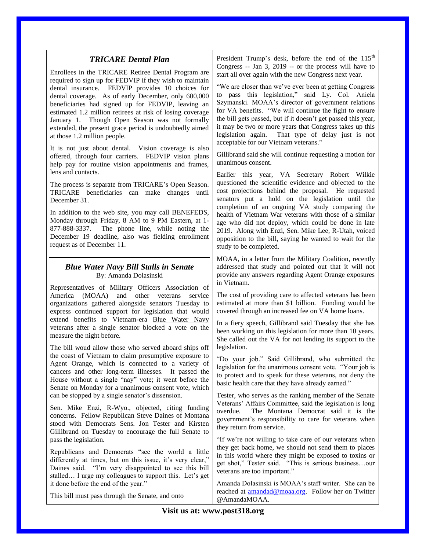| <b>TRICARE Dental Plan</b><br>Enrollees in the TRICARE Retiree Dental Program are<br>required to sign up for FEDVIP if they wish to maintain<br>dental insurance. FEDVIP provides 10 choices for<br>dental coverage. As of early December, only 600,000<br>beneficiaries had signed up for FEDVIP, leaving an<br>estimated 1.2 million retirees at risk of losing coverage<br>January 1. Though Open Season was not formally<br>extended, the present grace period is undoubtedly aimed<br>at those 1.2 million people.<br>It is not just about dental. Vision coverage is also<br>offered, through four carriers. FEDVIP vision plans<br>help pay for routine vision appointments and frames,                                                                                                                                                | President Trump's desk, before the end of the 115 <sup>th</sup><br>Congress -- Jan 3, 2019 -- or the process will have to<br>start all over again with the new Congress next year.<br>"We are closer than we've ever been at getting Congress<br>to pass this legislation," said Ly. Col. Aniela<br>Szymanski. MOAA's director of government relations<br>for VA benefits. "We will continue the fight to ensure<br>the bill gets passed, but if it doesn't get passed this year,<br>it may be two or more years that Congress takes up this<br>legislation again. That type of delay just is not<br>acceptable for our Vietnam veterans."<br>Gillibrand said she will continue requesting a motion for<br>unanimous consent.                                                                                                                                                                                                 |  |
|-----------------------------------------------------------------------------------------------------------------------------------------------------------------------------------------------------------------------------------------------------------------------------------------------------------------------------------------------------------------------------------------------------------------------------------------------------------------------------------------------------------------------------------------------------------------------------------------------------------------------------------------------------------------------------------------------------------------------------------------------------------------------------------------------------------------------------------------------|-------------------------------------------------------------------------------------------------------------------------------------------------------------------------------------------------------------------------------------------------------------------------------------------------------------------------------------------------------------------------------------------------------------------------------------------------------------------------------------------------------------------------------------------------------------------------------------------------------------------------------------------------------------------------------------------------------------------------------------------------------------------------------------------------------------------------------------------------------------------------------------------------------------------------------|--|
| lens and contacts.<br>The process is separate from TRICARE's Open Season.<br>TRICARE beneficiaries can make changes until<br>December 31.<br>In addition to the web site, you may call BENEFEDS,<br>Monday through Friday, 8 AM to 9 PM Eastern, at 1-<br>877-888-3337. The phone line, while noting the<br>December 19 deadline, also was fielding enrollment<br>request as of December 11.                                                                                                                                                                                                                                                                                                                                                                                                                                                  | Earlier this year, VA Secretary Robert Wilkie<br>questioned the scientific evidence and objected to the<br>cost projections behind the proposal. He requested<br>senators put a hold on the legislation until the<br>completion of an ongoing VA study comparing the<br>health of Vietnam War veterans with those of a similar<br>age who did not deploy, which could be done in late<br>2019. Along with Enzi, Sen. Mike Lee, R-Utah, voiced<br>opposition to the bill, saying he wanted to wait for the<br>study to be completed.                                                                                                                                                                                                                                                                                                                                                                                           |  |
| <b>Blue Water Navy Bill Stalls in Senate</b><br>By: Amanda Dolasinski<br>Representatives of Military Officers Association of<br>America (MOAA)<br>and other<br>veterans<br>service<br>organizations gathered alongside senators Tuesday to<br>express continued support for legislation that would<br>extend benefits to Vietnam-era Blue Water Navy<br>veterans after a single senator blocked a vote on the<br>measure the night before.<br>The bill woud allow those who served aboard ships off<br>the coast of Vietnam to claim presumptive exposure to<br>Agent Orange, which is connected to a variety of<br>cancers and other long-term illnesses. It passed the<br>House without a single "nay" vote; it went before the<br>Senate on Monday for a unanimous consent vote, which<br>can be stopped by a single senator's dissension. | MOAA, in a letter from the Military Coalition, recently<br>addressed that study and pointed out that it will not<br>provide any answers regarding Agent Orange exposures<br>in Vietnam.<br>The cost of providing care to affected veterans has been<br>estimated at more than \$1 billion. Funding would be<br>covered through an increased fee on VA home loans.<br>In a fiery speech, Gillibrand said Tuesday that she has<br>been working on this legislation for more than 10 years.<br>She called out the VA for not lending its support to the<br>legislation.<br>"Do your job." Said Gillibrand, who submitted the<br>legislation for the unanimous consent vote. "Your job is<br>to protect and to speak for these veterans, not deny the<br>basic health care that they have already earned."<br>Tester, who serves as the ranking member of the Senate<br>Veterans' Affairs Committee, said the legislation is long |  |
| Sen. Mike Enzi, R-Wyo., objected, citing funding<br>concerns. Fellow Republican Steve Daines of Montana<br>stood with Democrats Sens. Jon Tester and Kirsten<br>Gillibrand on Tuesday to encourage the full Senate to<br>pass the legislation.<br>Republicans and Democrats "see the world a little<br>differently at times, but on this issue, it's very clear,"<br>Daines said. "I'm very disappointed to see this bill<br>stalled I urge my colleagues to support this. Let's get<br>it done before the end of the year."<br>This bill must pass through the Senate, and onto                                                                                                                                                                                                                                                              | overdue.<br>The Montana Democrat said it is the<br>government's responsibility to care for veterans when<br>they return from service.<br>"If we're not willing to take care of our veterans when<br>they get back home, we should not send them to places<br>in this world where they might be exposed to toxins or<br>get shot," Tester said. "This is serious businessour<br>veterans are too important."<br>Amanda Dolasinski is MOAA's staff writer. She can be<br>reached at amandad@moaa.org. Follow her on Twitter<br>@AmandaMOAA.                                                                                                                                                                                                                                                                                                                                                                                     |  |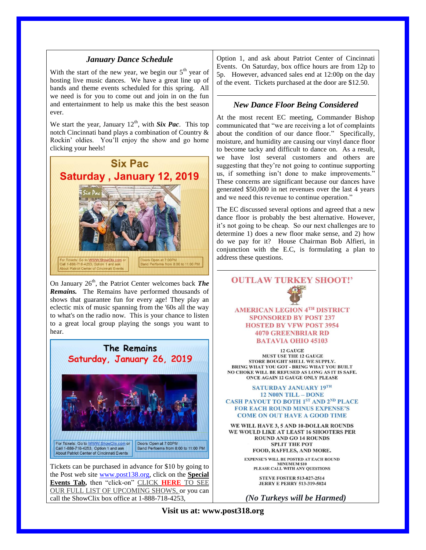#### *January Dance Schedule*

With the start of the new year, we begin our  $5<sup>th</sup>$  year of hosting live music dances. We have a great line up of bands and theme events scheduled for this spring. All we need is for you to come out and join in on the fun and entertainment to help us make this the best season ever.

We start the year, January  $12<sup>th</sup>$ , with **Six Pac**. This top notch Cincinnati band plays a combination of Country & Rockin' oldies. You'll enjoy the show and go home clicking your heels!



On January 26<sup>th</sup>, the Patriot Center welcomes back *The Remains.* The Remains have performed thousands of shows that guarantee fun for every age! They play an eclectic mix of music spanning from the '60s all the way to what's on the radio now. This is your chance to listen to a great local group playing the songs you want to hear.



call the ShowClix box office at 1-888-718-4253,

Option 1, and ask about Patriot Center of Cincinnati Events. On Saturday, box office hours are from 12p to 5p. However, advanced sales end at 12:00p on the day of the event. Tickets purchased at the door are \$12.50.

#### *New Dance Floor Being Considered*

At the most recent EC meeting, Commander Bishop communicated that "we are receiving a lot of complaints about the condition of our dance floor." Specifically, moisture, and humidity are causing our vinyl dance floor to become tacky and difficult to dance on. As a result, we have lost several customers and others are suggesting that they're not going to continue supporting us, if something isn't done to make improvements." These concerns are significant because our dances have generated \$50,000 in net revenues over the last 4 years and we need this revenue to continue operation."

The EC discussed several options and agreed that a new dance floor is probably the best alternative. However, it's not going to be cheap. So our next challenges are to determine 1) does a new floor make sense, and 2) how do we pay for it? House Chairman Bob Alfieri, in conjunction with the E.C, is formulating a plan to address these questions.

# **OUTLAW TURKEY SHOOT!' AMERICAN LEGION 4TH DISTRICT SPONSORED BY POST 237 HOSTED BY VFW POST 3954 4070 GREENBRIAR RD BATAVIA OHIO 45103**

**12 GAUGE** MUST USE THE 12 GAUGE **STORE BOUGHT SHELL WE SUPPLY.** BRING WHAT YOU GOT - BRING WHAT YOU BUILT NO CHOKE WILL BE REFUSED AS LONG AS IT IS SAFE. ONCE AGAIN 12 GAUGE ONLY PLEASE

#### **SATURDAY JANUARY 19TH 12 N00N TILL - DONE CASH PAYOUT TO BOTH 1ST AND 2ND PLACE FOR EACH ROUND MINUS EXPENSE'S COME ON OUT HAVE A GOOD TIME**

WE WILL HAVE 3, 5 AND 10-DOLLAR ROUNDS WE WOULD LIKE AT LEAST 16 SHOOTERS PER **ROUND AND GO 14 ROUNDS SPLIT THE POT** FOOD, RAFFLES, AND MORE.

> **EXPENSE'S WILL BE POSTED AT EACH ROUND** EISE S WILL BE POSTED AT EACH RO<br>MINUMUM \$10<br>PLEASE CALL WITH ANY QUESTIONS

> > **STEVE FOSTER 513-827-2514 JERRY E PERRY 513-319-5024**

*(No Turkeys will be Harmed)*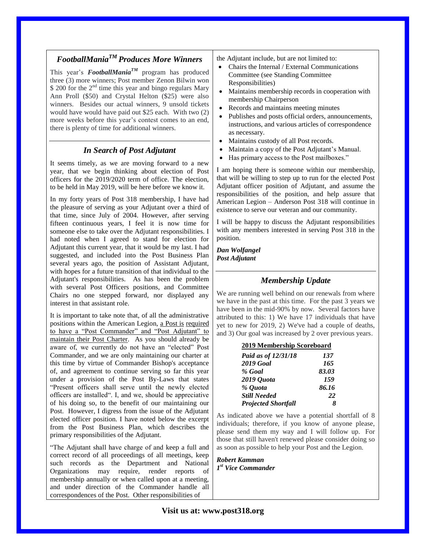# *FootballManiaTM Produces More Winners*

This year's *FootballManiaTM* program has produced three (3) more winners; Post member Zenon Bilwin won  $$ 200$  for the  $2<sup>nd</sup>$  time this year and bingo regulars Mary Ann Proll (\$50) and Crystal Helton (\$25) were also winners. Besides our actual winners, 9 unsold tickets would have would have paid out \$25 each. With two (2) more weeks before this year's contest comes to an end, there is plenty of time for additional winners.

#### *In Search of Post Adjutant*

It seems timely, as we are moving forward to a new year, that we begin thinking about election of Post officers for the 2019/2020 term of office. The election, to be held in May 2019, will be here before we know it.

In my forty years of Post 318 membership, I have had the pleasure of serving as your Adjutant over a third of that time, since July of 2004. However, after serving fifteen continuous years, I feel it is now time for someone else to take over the Adjutant responsibilities. I had noted when I agreed to stand for election for Adjutant this current year, that it would be my last. I had suggested, and included into the Post Business Plan several years ago, the position of Assistant Adjutant, with hopes for a future transition of that individual to the Adjutant's responsibilities. As has been the problem with several Post Officers positions, and Committee Chairs no one stepped forward, nor displayed any interest in that assistant role.

It is important to take note that, of all the administrative positions within the American Legion, a Post is required to have a "Post Commander" and "Post Adjutant" to maintain their Post Charter. As you should already be aware of, we currently do not have an "elected" Post Commander, and we are only maintaining our charter at this time by virtue of Commander Bishop's acceptance of, and agreement to continue serving so far this year under a provision of the Post By-Laws that states "Present officers shall serve until the newly elected officers are installed". I, and we, should be appreciative of his doing so, to the benefit of our maintaining our Post. However, I digress from the issue of the Adjutant elected officer position. I have noted below the excerpt from the Post Business Plan, which describes the primary responsibilities of the Adjutant.

"The Adjutant shall have charge of and keep a full and correct record of all proceedings of all meetings, keep such records as the Department and National Organizations may require, render reports of membership annually or when called upon at a meeting, and under direction of the Commander handle all correspondences of the Post. Other responsibilities of

the Adjutant include, but are not limited to:

- Chairs the Internal / External Communications Committee (see Standing Committee Responsibilities)
- Maintains membership records in cooperation with membership Chairperson
- Records and maintains meeting minutes
- Publishes and posts official orders, announcements, instructions, and various articles of correspondence as necessary.
- Maintains custody of all Post records.
- Maintain a copy of the Post Adjutant's Manual.
- Has primary access to the Post mailboxes."

I am hoping there is someone within our membership, that will be willing to step up to run for the elected Post Adjutant officer position of Adjutant, and assume the responsibilities of the position, and help assure that American Legion – Anderson Post 318 will continue in existence to serve our veteran and our community.

I will be happy to discuss the Adjutant responsibilities with any members interested in serving Post 318 in the position.

*Dan Wolfangel Post Adjutant* 

### *Membership Update*

We are running well behind on our renewals from where we have in the past at this time. For the past 3 years we have been in the mid-90% by now. Several factors have attributed to this: 1) We have 17 individuals that have yet to new for 2019, 2) We've had a couple of deaths, and 3) Our goal was increased by 2 over previous years.

| 2019 Membership Scoreboard |       |  |
|----------------------------|-------|--|
| Paid as of 12/31/18        | 137   |  |
| <b>2019 Goal</b>           | 165   |  |
| % Goal                     | 83.03 |  |
| 2019 Quota                 | 159   |  |
| % Quota                    | 86.16 |  |
| <b>Still Needed</b>        | 22    |  |
| <b>Projected Shortfall</b> |       |  |

As indicated above we have a potential shortfall of 8 individuals; therefore, if you know of anyone please, please send them my way and I will follow up. For those that still haven't renewed please consider doing so as soon as possible to help your Post and the Legion.

*Robert Kamman 1 st Vice Commander*